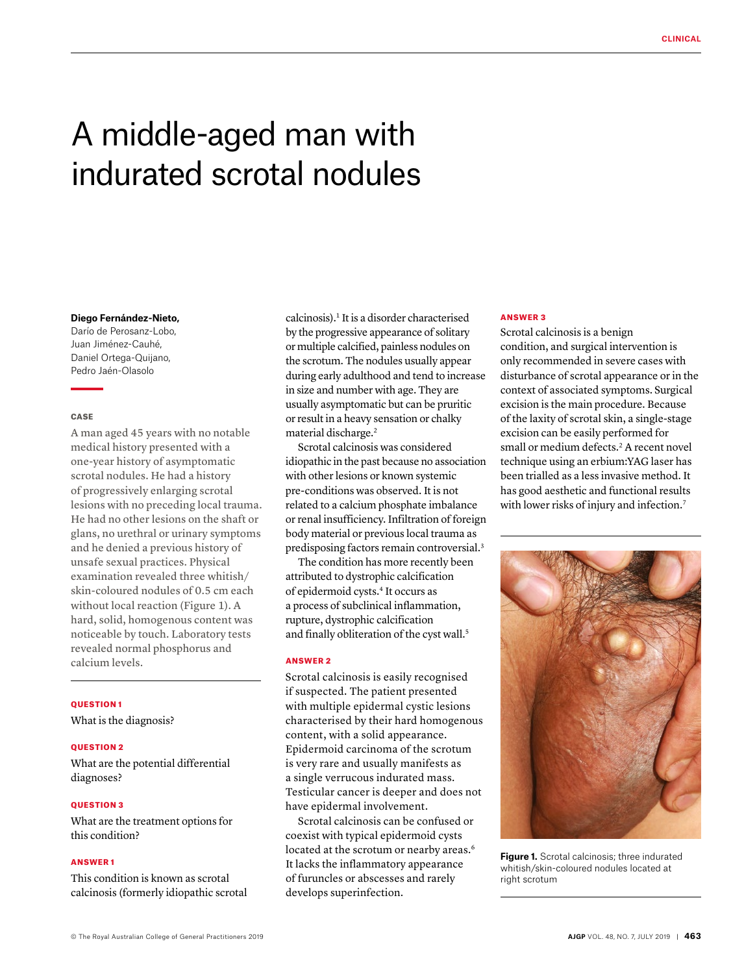# A middle-aged man with indurated scrotal nodules

## **Diego Fernández-Nieto,**

Darío de Perosanz-Lobo, Juan Jiménez-Cauhé, Daniel Ortega-Quijano, Pedro Jaén-Olasolo

#### **CASE**

A man aged 45 years with no notable medical history presented with a one-year history of asymptomatic scrotal nodules. He had a history of progressively enlarging scrotal lesions with no preceding local trauma. He had no other lesions on the shaft or glans, no urethral or urinary symptoms and he denied a previous history of unsafe sexual practices. Physical examination revealed three whitish/ skin-coloured nodules of 0.5 cm each without local reaction (Figure 1). A hard, solid, homogenous content was noticeable by touch. Laboratory tests revealed normal phosphorus and calcium levels.

## QUESTION 1

What is the diagnosis?

#### **OUESTION 2**

What are the potential differential diagnoses?

#### QUESTION 3

What are the treatment options for this condition?

# ANSWER 1

This condition is known as scrotal calcinosis (formerly idiopathic scrotal calcinosis).1 It is a disorder characterised by the progressive appearance of solitary or multiple calcified, painless nodules on the scrotum. The nodules usually appear during early adulthood and tend to increase in size and number with age. They are usually asymptomatic but can be pruritic or result in a heavy sensation or chalky material discharge.<sup>2</sup>

Scrotal calcinosis was considered idiopathic in the past because no association with other lesions or known systemic pre-conditions was observed. It is not related to a calcium phosphate imbalance or renal insufficiency. Infiltration of foreign body material or previous local trauma as predisposing factors remain controversial.3

The condition has more recently been attributed to dystrophic calcification of epidermoid cysts.4 It occurs as a process of subclinical inflammation, rupture, dystrophic calcification and finally obliteration of the cyst wall.<sup>5</sup>

### ANSWER 2

Scrotal calcinosis is easily recognised if suspected. The patient presented with multiple epidermal cystic lesions characterised by their hard homogenous content, with a solid appearance. Epidermoid carcinoma of the scrotum is very rare and usually manifests as a single verrucous indurated mass. Testicular cancer is deeper and does not have epidermal involvement.

Scrotal calcinosis can be confused or coexist with typical epidermoid cysts located at the scrotum or nearby areas.<sup>6</sup> It lacks the inflammatory appearance of furuncles or abscesses and rarely develops superinfection.

### ANSWER 3

Scrotal calcinosis is a benign condition, and surgical intervention is only recommended in severe cases with disturbance of scrotal appearance or in the context of associated symptoms. Surgical excision is the main procedure. Because of the laxity of scrotal skin, a single-stage excision can be easily performed for small or medium defects.<sup>2</sup> A recent novel technique using an erbium:YAG laser has been trialled as a less invasive method. It has good aesthetic and functional results with lower risks of injury and infection.<sup>7</sup>



**Figure 1.** Scrotal calcinosis; three indurated whitish/skin-coloured nodules located at right scrotum